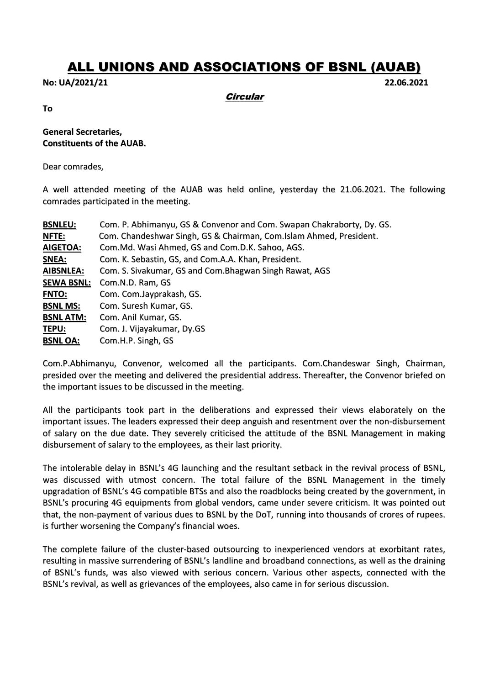## ALL UNIONS AND ASSOCIATIONS OF BSNL (AUAB)

**No: UA/2021/21 22.06.2021**

**Circular** 

**To**

## **General Secretaries, Constituents of the AUAB.**

Dear comrades,

A well attended meeting of the AUAB was held online, yesterday the 21.06.2021. The following comrades participated in the meeting.

| <b>BSNLEU:</b>    | Com. P. Abhimanyu, GS & Convenor and Com. Swapan Chakraborty, Dy. GS. |
|-------------------|-----------------------------------------------------------------------|
| <b>NFTE:</b>      | Com. Chandeshwar Singh, GS & Chairman, Com. Islam Ahmed, President.   |
| <b>AIGETOA:</b>   | Com.Md. Wasi Ahmed, GS and Com.D.K. Sahoo, AGS.                       |
| SNEA:             | Com. K. Sebastin, GS, and Com.A.A. Khan, President.                   |
| <b>AIBSNLEA:</b>  | Com. S. Sivakumar, GS and Com. Bhagwan Singh Rawat, AGS               |
| <b>SEWA BSNL:</b> | Com.N.D. Ram, GS                                                      |
| <b>FNTO:</b>      | Com. Com. Jayprakash, GS.                                             |
| <b>BSNL MS:</b>   | Com. Suresh Kumar, GS.                                                |
| <b>BSNL ATM:</b>  | Com. Anil Kumar, GS.                                                  |
| TEPU:             | Com. J. Vijayakumar, Dy.GS                                            |
| <b>BSNL OA:</b>   | Com.H.P. Singh, GS                                                    |
|                   |                                                                       |

Com.P.Abhimanyu, Convenor, welcomed all the participants. Com.Chandeswar Singh, Chairman, presided over the meeting and delivered the presidential address. Thereafter, the Convenor briefed on the important issues to be discussed in the meeting.

All the participants took part in the deliberations and expressed their views elaborately on the important issues. The leaders expressed their deep anguish and resentment over the non-disbursement of salary on the due date. They severely criticised the attitude of the BSNL Management in making disbursement of salary to the employees, as their last priority.

The intolerable delay in BSNL's 4G launching and the resultant setback in the revival process of BSNL, was discussed with utmost concern. The total failure of the BSNL Management in the timely upgradation of BSNL's 4G compatible BTSs and also the roadblocks being created by the government, in BSNL's procuring 4G equipments from global vendors, came under severe criticism. It was pointed out that, the non-payment of various dues to BSNL by the DoT, running into thousands of crores of rupees. is further worsening the Company's financial woes.

The complete failure of the cluster-based outsourcing to inexperienced vendors at exorbitant rates, resulting in massive surrendering of BSNL's landline and broadband connections, as well as the draining of BSNL's funds, was also viewed with serious concern. Various other aspects, connected with the BSNL's revival, as well as grievances of the employees, also came in for serious discussion.